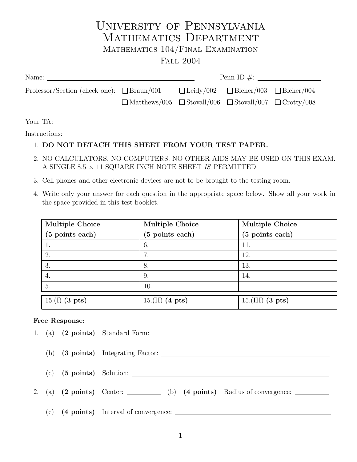# University of Pennsylvania MATHEMATICS DEPARTMENT

## Mathematics 104/Final Examination

### Fall 2004

| Name: $\frac{1}{\sqrt{1-\frac{1}{2}}\sqrt{1-\frac{1}{2}}\left\vert \frac{1}{2}+1\right\vert ^{2}}$ |                                                                             |  |                                                      |  |
|----------------------------------------------------------------------------------------------------|-----------------------------------------------------------------------------|--|------------------------------------------------------|--|
| Professor/Section (check one): $\Box$ Braun/001                                                    | $\Box$ Matthews/005 $\Box$ Stovall/006 $\Box$ Stovall/007 $\Box$ Crotty/008 |  | $\Box$ Leidy/002 $\Box$ Bleher/003 $\Box$ Bleher/004 |  |
|                                                                                                    |                                                                             |  |                                                      |  |

Your TA:

Instructions:

### 1. DO NOT DETACH THIS SHEET FROM YOUR TEST PAPER.

- 2. NO CALCULATORS, NO COMPUTERS, NO OTHER AIDS MAY BE USED ON THIS EXAM. A SINGLE 8.5  $\times$  11 SQUARE INCH NOTE SHEET  $IS$  PERMITTED.
- 3. Cell phones and other electronic devices are not to be brought to the testing room.
- 4. Write only your answer for each question in the appropriate space below. Show all your work in the space provided in this test booklet.

| <b>Multiple Choice</b> | <b>Multiple Choice</b> | <b>Multiple Choice</b> |
|------------------------|------------------------|------------------------|
| (5 points each)        | (5 points each)        | (5 points each)        |
|                        | 6.                     | 11.                    |
| 2.                     | 7.                     | 12.                    |
| 3.                     | 8.                     | 13.                    |
| 4.                     | 9.                     | 14.                    |
| 5.                     | 10.                    |                        |
| $15.(I)$ (3 pts)       | $15.(II)$ (4 pts)      | $15.(III)$ (3 pts)     |

#### Free Response:

|     | 1. (a) (2 points) Standard Form:                                |
|-----|-----------------------------------------------------------------|
|     | (b) $(3 \text{ points})$ Integrating Factor: $\frac{1}{2}$      |
|     |                                                                 |
|     | 2. (a) (2 points) Center: (b) (4 points) Radius of convergence: |
| (c) |                                                                 |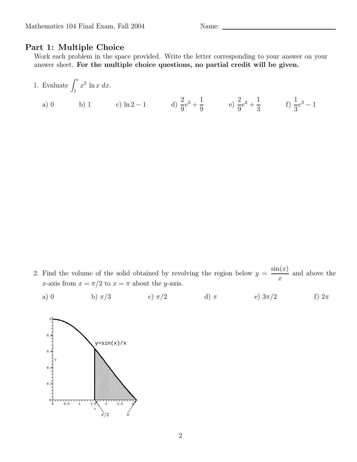#### Part 1: Multiple Choice

Work each problem in the space provided. Write the letter corresponding to your answer on your answer sheet. For the multiple choice questions, no partial credit will be given.

1. Evaluate 
$$
\int_1^e x^2 \ln x \, dx
$$
.  
\na) 0 \nb) 1 \nc)  $\ln 2 - 1$  \nd)  $\frac{2}{9}e^3 + \frac{1}{9}$  \ne)  $\frac{2}{9}e^2 + \frac{1}{3}$  \nf)  $\frac{1}{3}e^3 - 1$ 

- 2. Find the volume of the solid obtained by revolving the region below  $y =$  $sin(x)$  $\boldsymbol{x}$ and above the x-axis from  $x = \pi/2$  to  $x = \pi$  about the y-axis.
	- a) 0 b)  $\pi/3$  c)  $\pi/2$  d)  $\pi$  e)  $3\pi/2$  f)  $2\pi$

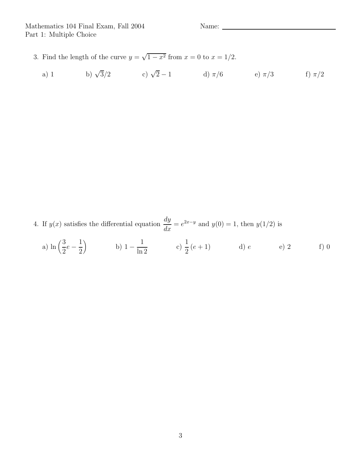- 3. Find the length of the curve  $y = \sqrt{1 x^2}$  from  $x = 0$  to  $x = 1/2$ .
	- a) 1 b)  $\sqrt{3}/2$  c)  $\sqrt{2}-1$  d)  $\pi/6$  e)  $\pi/3$  f)  $\pi/2$

4. If  $y(x)$  satisfies the differential equation dy  $\frac{dy}{dx} = e^{2x-y}$  and  $y(0) = 1$ , then  $y(1/2)$  is

a) 
$$
\ln\left(\frac{3}{2}e - \frac{1}{2}\right)
$$
 b)  $1 - \frac{1}{\ln 2}$  c)  $\frac{1}{2}(e + 1)$  d) e e e) 2 f) 0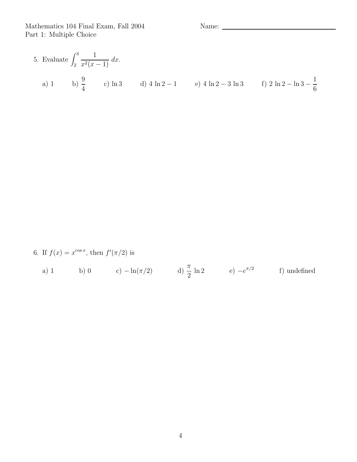5. Evaluate 
$$
\int_2^3 \frac{1}{x^2(x-1)} dx
$$
.  
a) 1 b)  $\frac{9}{4}$  c) ln 3 d) 4 ln 2 - 1 e) 4 ln 2 - 3 ln 3 f) 2 ln 2 - ln 3 -  $\frac{1}{6}$ 

6. If 
$$
f(x) = x^{\cos x}
$$
, then  $f'(\pi/2)$  is

a) 1 b) 0 c) 
$$
-\ln(\pi/2)
$$
 d)  $\frac{\pi}{2} \ln 2$  e)  $-e^{\pi/2}$  f) undefined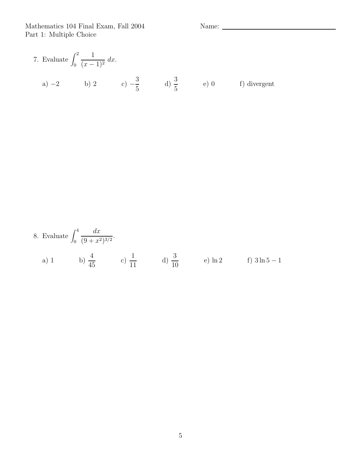7. Evaluate 
$$
\int_0^2 \frac{1}{(x-1)^2} dx
$$
.  
\na) -2 b) 2 c)  $-\frac{3}{5}$  d)  $\frac{3}{5}$  e) 0 f) divergent

8. Evaluate 
$$
\int_0^4 \frac{dx}{(9+x^2)^{3/2}}
$$
.  
\na) 1\nb)  $\frac{4}{45}$ \nc)  $\frac{1}{11}$ \nd)  $\frac{3}{10}$ \ne) ln 2\nf)  $3 \ln 5 - 1$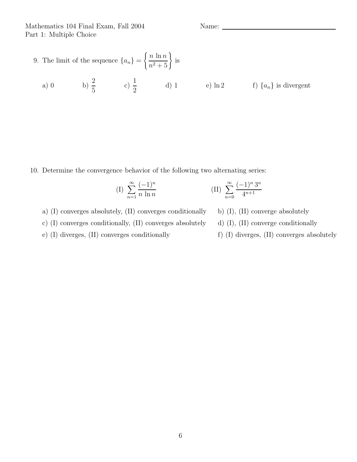9. The limit of the sequence 
$$
\{a_n\} = \left\{\frac{n \ln n}{n^2 + 5}\right\}
$$
 is

a) 0 b)  $\frac{2}{5}$ 5 c)  $\frac{1}{2}$  $\frac{1}{2}$  d) 1 e) ln 2 f)  $\{a_n\}$  is divergent

10. Determine the convergence behavior of the following two alternating series:

(I) 
$$
\sum_{n=1}^{\infty} \frac{(-1)^n}{n \ln n}
$$
 (II)  $\sum_{n=0}^{\infty} \frac{(-1)^n 3^n}{4^{n+1}}$ 

- a) (I) converges absolutely,  $(II)$  converges conditionally b)  $(I)$ ,  $(II)$  converge absolutely
- c) (I) converges conditionally, (II) converges absolutely d) (I), (II) converge conditionally
- e) (I) diverges, (II) converges conditionally f) (I) diverges, (II) converges absolutely
- 
- -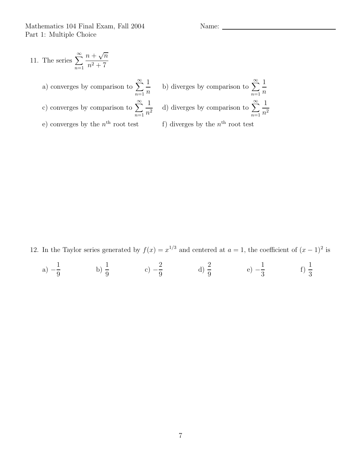Mathematics 104 Final Exam, Fall 2004 Name: Name: Name: Name: Name: Name: Name: Name: Name: Name: Name: Name: Name: Name: Name: Name: Name: Name: Name: Name: Name: Name: Name: Name: Name: Name: Name: Name: Name: Name: Name Part 1: Multiple Choice

11. The series 
$$
\sum_{n=1}^{\infty} \frac{n + \sqrt{n}}{n^2 + 7}
$$
  
\na) converges by comparison to 
$$
\sum_{n=1}^{\infty} \frac{1}{n}
$$
  
\nb) diverges by comparison to 
$$
\sum_{n=1}^{\infty} \frac{1}{n^2}
$$
  
\nc) converges by comparison to 
$$
\sum_{n=1}^{\infty} \frac{1}{n^2}
$$
  
\ne) converges by the *n*<sup>th</sup> root test  
\nf) diverges by the *n*<sup>th</sup> root test

12. In the Taylor series generated by  $f(x) = x^{1/3}$  and centered at  $a = 1$ , the coefficient of  $(x - 1)^2$  is

a) 
$$
-\frac{1}{9}
$$
 b)  $\frac{1}{9}$  c)  $-\frac{2}{9}$  d)  $\frac{2}{9}$  e)  $-\frac{1}{3}$  f)  $\frac{1}{3}$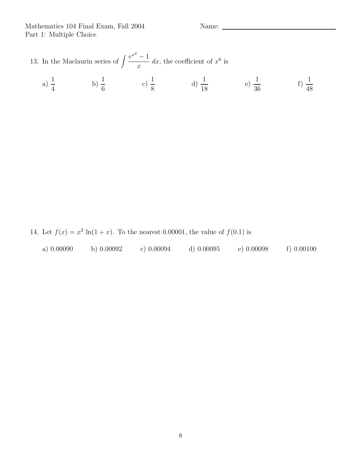13. In the Maclaurin series of  $\int \frac{e^{x^2} - 1}{\sqrt{x}}$  $\boldsymbol{x}$ dx, the coefficient of  $x^6$  is

a) 
$$
\frac{1}{4}
$$
 b)  $\frac{1}{6}$  c)  $\frac{1}{8}$  d)  $\frac{1}{18}$  e)  $\frac{1}{36}$  f)  $\frac{1}{48}$ 

14. Let  $f(x) = x^2 \ln(1+x)$ . To the nearest 0.00001, the value of  $f(0.1)$  is

|  | a) $0.00090$ | b) 0.00092 | c) 0.00094 | $d)$ 0.00095 | e) $0.00098$ | f( )0.00100 |
|--|--------------|------------|------------|--------------|--------------|-------------|
|--|--------------|------------|------------|--------------|--------------|-------------|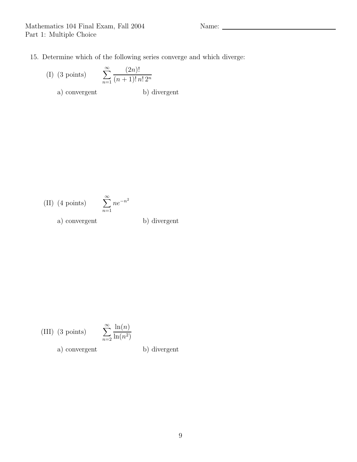- 15. Determine which of the following series converge and which diverge:
	- $(I)$  (3 points)  $n=1$  $(2n)!$  $(n+1)! n! 2^n$ a) convergent b) divergent

(II) (4 points) 
$$
\sum_{n=1}^{\infty} ne^{-n^2}
$$
  
a) convergent b) divergent

(III) (3 points) 
$$
\sum_{n=2}^{\infty} \frac{\ln(n)}{\ln(n^2)}
$$

a) convergent b) divergent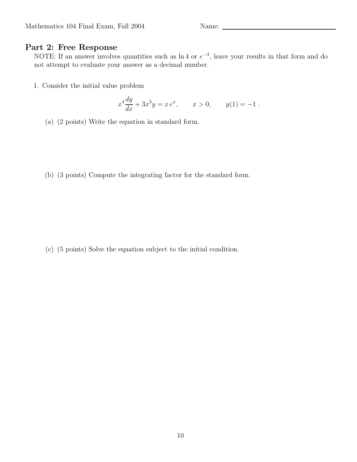#### Part 2: Free Response

NOTE: If an answer involves quantities such as  $\ln 4$  or  $e^{-3}$ , leave your results in that form and do not attempt to evaluate your answer as a decimal number.

1. Consider the initial value problem

$$
x^4 \frac{dy}{dx} + 3x^3 y = x e^x, \qquad x > 0, \qquad y(1) = -1.
$$

- (a) (2 points) Write the equation in standard form.
- (b) (3 points) Compute the integrating factor for the standard form.

(c) (5 points) Solve the equation subject to the initial condition.